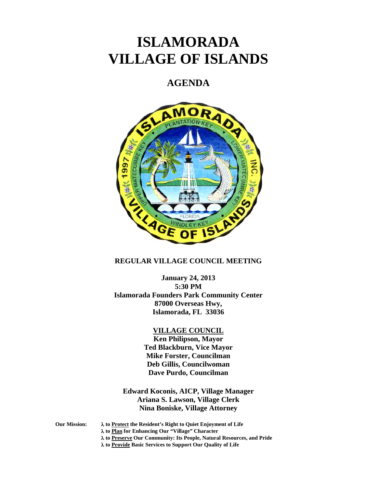# **ISLAMORADA VILLAGE OF ISLANDS**

## **AGENDA**



## **REGULAR VILLAGE COUNCIL MEETING**

**January 24, 2013 5:30 PM Islamorada Founders Park Community Center 87000 Overseas Hwy, Islamorada, FL 33036** 

#### **VILLAGE COUNCIL**

**Ken Philipson, Mayor Ted Blackburn, Vice Mayor Mike Forster, Councilman Deb Gillis, Councilwoman Dave Purdo, Councilman** 

**Edward Koconis, AICP, Village Manager Ariana S. Lawson, Village Clerk Nina Boniske, Village Attorney** 

**Our Mission: to Protect the Resident's Right to Quiet Enjoyment of Life to Plan for Enhancing Our "Village" Character to Preserve Our Community: Its People, Natural Resources, and Pride to Provide Basic Services to Support Our Quality of Life**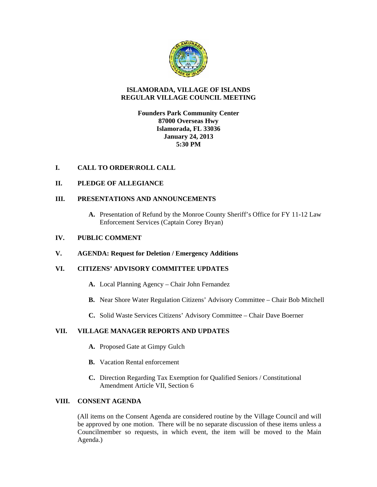

## **ISLAMORADA, VILLAGE OF ISLANDS REGULAR VILLAGE COUNCIL MEETING**

## **Founders Park Community Center 87000 Overseas Hwy Islamorada, FL 33036 January 24, 2013 5:30 PM**

## **I. CALL TO ORDER\ROLL CALL**

## **II. PLEDGE OF ALLEGIANCE**

## **III. PRESENTATIONS AND ANNOUNCEMENTS**

**A.** Presentation of Refund by the Monroe County Sheriff's Office for FY 11-12 Law Enforcement Services (Captain Corey Bryan)

#### **IV. PUBLIC COMMENT**

## **V. AGENDA: Request for Deletion / Emergency Additions**

## **VI. CITIZENS' ADVISORY COMMITTEE UPDATES**

- **A.** Local Planning Agency Chair John Fernandez
- **B.** Near Shore Water Regulation Citizens' Advisory Committee Chair Bob Mitchell
- **C.** Solid Waste Services Citizens' Advisory Committee Chair Dave Boerner

## **VII. VILLAGE MANAGER REPORTS AND UPDATES**

- **A.** Proposed Gate at Gimpy Gulch
- **B.** Vacation Rental enforcement
- **C.** Direction Regarding Tax Exemption for Qualified Seniors / Constitutional Amendment Article VII, Section 6

## **VIII. CONSENT AGENDA**

(All items on the Consent Agenda are considered routine by the Village Council and will be approved by one motion. There will be no separate discussion of these items unless a Councilmember so requests, in which event, the item will be moved to the Main Agenda.)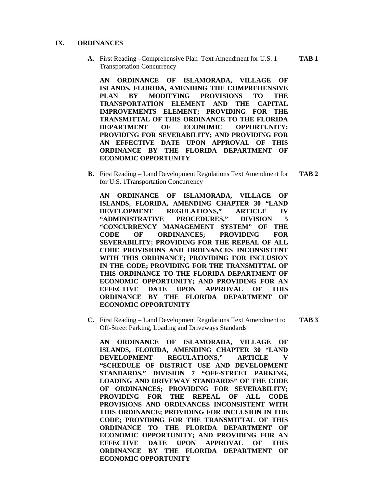#### **IX. ORDINANCES**

**A.** First Reading –Comprehensive Plan Text Amendment for U.S. 1 **TAB 1**  Transportation Concurrency

**AN ORDINANCE OF ISLAMORADA, VILLAGE OF ISLANDS, FLORIDA, AMENDING THE COMPREHENSIVE PLAN BY MODIFYING PROVISIONS TO THE TRANSPORTATION ELEMENT AND THE CAPITAL IMPROVEMENTS ELEMENT; PROVIDING FOR THE TRANSMITTAL OF THIS ORDINANCE TO THE FLORIDA DEPARTMENT OF ECONOMIC OPPORTUNITY; PROVIDING FOR SEVERABILITY; AND PROVIDING FOR AN EFFECTIVE DATE UPON APPROVAL OF THIS ORDINANCE BY THE FLORIDA DEPARTMENT OF ECONOMIC OPPORTUNITY** 

**B.** First Reading – Land Development Regulations Text Amendment for **TAB 2**  for U.S. 1Transportation Concurrency

**AN ORDINANCE OF ISLAMORADA, VILLAGE OF ISLANDS, FLORIDA, AMENDING CHAPTER 30 "LAND DEVELOPMENT REGULATIONS," ARTICLE IV "ADMINISTRATIVE PROCEDURES," DIVISION 5 "CONCURRENCY MANAGEMENT SYSTEM" OF THE CODE OF ORDINANCES; PROVIDING FOR SEVERABILITY; PROVIDING FOR THE REPEAL OF ALL CODE PROVISIONS AND ORDINANCES INCONSISTENT WITH THIS ORDINANCE; PROVIDING FOR INCLUSION IN THE CODE; PROVIDING FOR THE TRANSMITTAL OF THIS ORDINANCE TO THE FLORIDA DEPARTMENT OF ECONOMIC OPPORTUNITY; AND PROVIDING FOR AN EFFECTIVE DATE UPON APPROVAL OF THIS ORDINANCE BY THE FLORIDA DEPARTMENT OF ECONOMIC OPPORTUNITY** 

**C.** First Reading – Land Development Regulations Text Amendment to **TAB 3**  Off-Street Parking, Loading and Driveways Standards

**AN ORDINANCE OF ISLAMORADA, VILLAGE OF ISLANDS, FLORIDA, AMENDING CHAPTER 30 "LAND DEVELOPMENT REGULATIONS," ARTICLE V "SCHEDULE OF DISTRICT USE AND DEVELOPMENT STANDARDS," DIVISION 7 "OFF-STREET PARKING, LOADING AND DRIVEWAY STANDARDS" OF THE CODE OF ORDINANCES; PROVIDING FOR SEVERABILITY; PROVIDING FOR THE REPEAL OF ALL CODE PROVISIONS AND ORDINANCES INCONSISTENT WITH THIS ORDINANCE; PROVIDING FOR INCLUSION IN THE CODE; PROVIDING FOR THE TRANSMITTAL OF THIS ORDINANCE TO THE FLORIDA DEPARTMENT OF ECONOMIC OPPORTUNITY; AND PROVIDING FOR AN EFFECTIVE DATE UPON APPROVAL OF THIS ORDINANCE BY THE FLORIDA DEPARTMENT OF ECONOMIC OPPORTUNITY**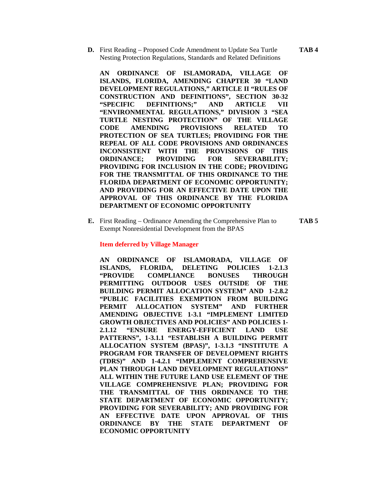**D.** First Reading – Proposed Code Amendment to Update Sea Turtle **TAB 4**  Nesting Protection Regulations, Standards and Related Definitions

**AN ORDINANCE OF ISLAMORADA, VILLAGE OF ISLANDS, FLORIDA, AMENDING CHAPTER 30 "LAND DEVELOPMENT REGULATIONS," ARTICLE II "RULES OF CONSTRUCTION AND DEFINITIONS", SECTION 30-32 "SPECIFIC DEFINITIONS;" AND ARTICLE VII "ENVIRONMENTAL REGULATIONS," DIVISION 3 "SEA TURTLE NESTING PROTECTION" OF THE VILLAGE CODE AMENDING PROVISIONS RELATED TO PROTECTION OF SEA TURTLES; PROVIDING FOR THE REPEAL OF ALL CODE PROVISIONS AND ORDINANCES INCONSISTENT WITH THE PROVISIONS OF THIS ORDINANCE; PROVIDING FOR SEVERABILITY; PROVIDING FOR INCLUSION IN THE CODE; PROVIDING FOR THE TRANSMITTAL OF THIS ORDINANCE TO THE FLORIDA DEPARTMENT OF ECONOMIC OPPORTUNITY; AND PROVIDING FOR AN EFFECTIVE DATE UPON THE APPROVAL OF THIS ORDINANCE BY THE FLORIDA DEPARTMENT OF ECONOMIC OPPORTUNITY** 

**E.** First Reading – Ordinance Amending the Comprehensive Plan to **TAB 5**  Exempt Nonresidential Development from the BPAS

#### **Item deferred by Village Manager**

**AN ORDINANCE OF ISLAMORADA, VILLAGE OF ISLANDS, FLORIDA, DELETING POLICIES 1-2.1.3 "PROVIDE COMPLIANCE BONUSES THROUGH PERMITTING OUTDOOR USES OUTSIDE OF THE BUILDING PERMIT ALLOCATION SYSTEM" AND 1-2.8.2 "PUBLIC FACILITIES EXEMPTION FROM BUILDING PERMIT ALLOCATION SYSTEM" AND FURTHER AMENDING OBJECTIVE 1-3.1 "IMPLEMENT LIMITED GROWTH OBJECTIVES AND POLICIES" AND POLICIES 1- 2.1.12 "ENSURE ENERGY-EFFICIENT LAND USE PATTERNS", 1-3.1.1 "ESTABLISH A BUILDING PERMIT ALLOCATION SYSTEM (BPAS)", 1-3.1.3 "INSTITUTE A PROGRAM FOR TRANSFER OF DEVELOPMENT RIGHTS (TDRS)" AND 1-4.2.1 "IMPLEMENT COMPREHENSIVE PLAN THROUGH LAND DEVELOPMENT REGULATIONS" ALL WITHIN THE FUTURE LAND USE ELEMENT OF THE VILLAGE COMPREHENSIVE PLAN; PROVIDING FOR THE TRANSMITTAL OF THIS ORDINANCE TO THE STATE DEPARTMENT OF ECONOMIC OPPORTUNITY; PROVIDING FOR SEVERABILITY; AND PROVIDING FOR AN EFFECTIVE DATE UPON APPROVAL OF THIS ORDINANCE BY THE STATE DEPARTMENT OF ECONOMIC OPPORTUNITY**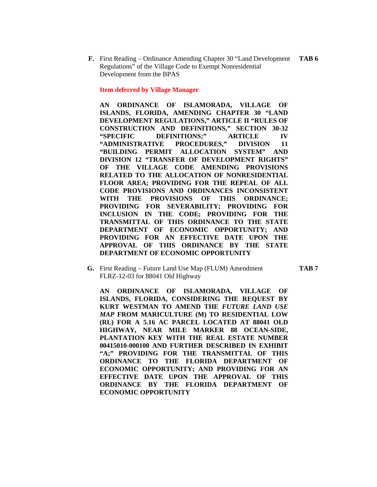**F.** First Reading – Ordinance Amending Chapter 30 "Land Development **TAB 6**  Regulations" of the Village Code to Exempt Nonresidential Development from the BPAS

#### **Item deferred by Village Manager**

**AN ORDINANCE OF ISLAMORADA, VILLAGE OF ISLANDS, FLORIDA, AMENDING CHAPTER 30 "LAND DEVELOPMENT REGULATIONS," ARTICLE II "RULES OF CONSTRUCTION AND DEFINITIONS," SECTION 30-32 "SPECIFIC DEFINITIONS;" ARTICLE IV "ADMINISTRATIVE PROCEDURES," DIVISION 11 "BUILDING PERMIT ALLOCATION SYSTEM" AND DIVISION 12 "TRANSFER OF DEVELOPMENT RIGHTS" OF THE VILLAGE CODE AMENDING PROVISIONS RELATED TO THE ALLOCATION OF NONRESIDENTIAL FLOOR AREA; PROVIDING FOR THE REPEAL OF ALL CODE PROVISIONS AND ORDINANCES INCONSISTENT WITH THE PROVISIONS OF THIS ORDINANCE; PROVIDING FOR SEVERABILITY; PROVIDING FOR INCLUSION IN THE CODE; PROVIDING FOR THE TRANSMITTAL OF THIS ORDINANCE TO THE STATE DEPARTMENT OF ECONOMIC OPPORTUNITY; AND PROVIDING FOR AN EFFECTIVE DATE UPON THE APPROVAL OF THIS ORDINANCE BY THE STATE DEPARTMENT OF ECONOMIC OPPORTUNITY** 

**G.** First Reading – Future Land Use Map (FLUM) Amendment **TAB 7**  FLRZ-12-03 for 88041 Old Highway

**AN ORDINANCE OF ISLAMORADA, VILLAGE OF ISLANDS, FLORIDA, CONSIDERING THE REQUEST BY KURT WESTMAN TO AMEND THE** *FUTURE LAND USE MAP* **FROM MARICULTURE (M) TO RESIDENTIAL LOW (RL) FOR A 5.16 AC PARCEL LOCATED AT 88041 OLD HIGHWAY, NEAR MILE MARKER 88 OCEAN-SIDE, PLANTATION KEY WITH THE REAL ESTATE NUMBER 00415010-000100 AND FURTHER DESCRIBED IN EXHIBIT "A;" PROVIDING FOR THE TRANSMITTAL OF THIS ORDINANCE TO THE FLORIDA DEPARTMENT OF ECONOMIC OPPORTUNITY; AND PROVIDING FOR AN EFFECTIVE DATE UPON THE APPROVAL OF THIS ORDINANCE BY THE FLORIDA DEPARTMENT OF ECONOMIC OPPORTUNITY**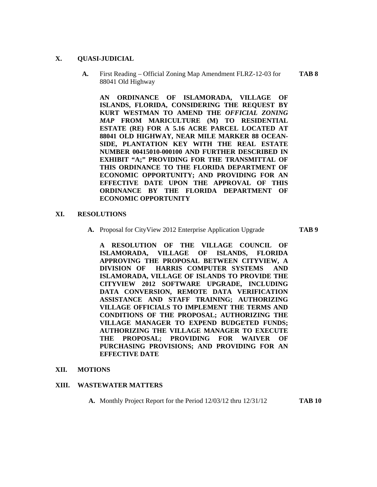#### **X. QUASI-JUDICIAL**

**A.** First Reading – Official Zoning Map Amendment FLRZ-12-03 for **TAB 8**  88041 Old Highway

**AN ORDINANCE OF ISLAMORADA, VILLAGE OF ISLANDS, FLORIDA, CONSIDERING THE REQUEST BY KURT WESTMAN TO AMEND THE** *OFFICIAL ZONING MAP* **FROM MARICULTURE (M) TO RESIDENTIAL ESTATE (RE) FOR A 5.16 ACRE PARCEL LOCATED AT 88041 OLD HIGHWAY, NEAR MILE MARKER 88 OCEAN-SIDE, PLANTATION KEY WITH THE REAL ESTATE NUMBER 00415010-000100 AND FURTHER DESCRIBED IN EXHIBIT "A;" PROVIDING FOR THE TRANSMITTAL OF THIS ORDINANCE TO THE FLORIDA DEPARTMENT OF ECONOMIC OPPORTUNITY; AND PROVIDING FOR AN EFFECTIVE DATE UPON THE APPROVAL OF THIS ORDINANCE BY THE FLORIDA DEPARTMENT OF ECONOMIC OPPORTUNITY** 

#### **XI. RESOLUTIONS**

**A.** Proposal for CityView 2012 Enterprise Application Upgrade **TAB 9** 

**A RESOLUTION OF THE VILLAGE COUNCIL OF ISLAMORADA, VILLAGE OF ISLANDS, FLORIDA APPROVING THE PROPOSAL BETWEEN CITYVIEW, A DIVISION OF HARRIS COMPUTER SYSTEMS AND ISLAMORADA, VILLAGE OF ISLANDS TO PROVIDE THE CITYVIEW 2012 SOFTWARE UPGRADE, INCLUDING DATA CONVERSION, REMOTE DATA VERIFICATION ASSISTANCE AND STAFF TRAINING; AUTHORIZING VILLAGE OFFICIALS TO IMPLEMENT THE TERMS AND CONDITIONS OF THE PROPOSAL; AUTHORIZING THE VILLAGE MANAGER TO EXPEND BUDGETED FUNDS; AUTHORIZING THE VILLAGE MANAGER TO EXECUTE THE PROPOSAL; PROVIDING FOR WAIVER OF PURCHASING PROVISIONS; AND PROVIDING FOR AN EFFECTIVE DATE** 

#### **XII. MOTIONS**

#### **XIII. WASTEWATER MATTERS**

**A.** Monthly Project Report for the Period 12/03/12 thru 12/31/12 **TAB 10**